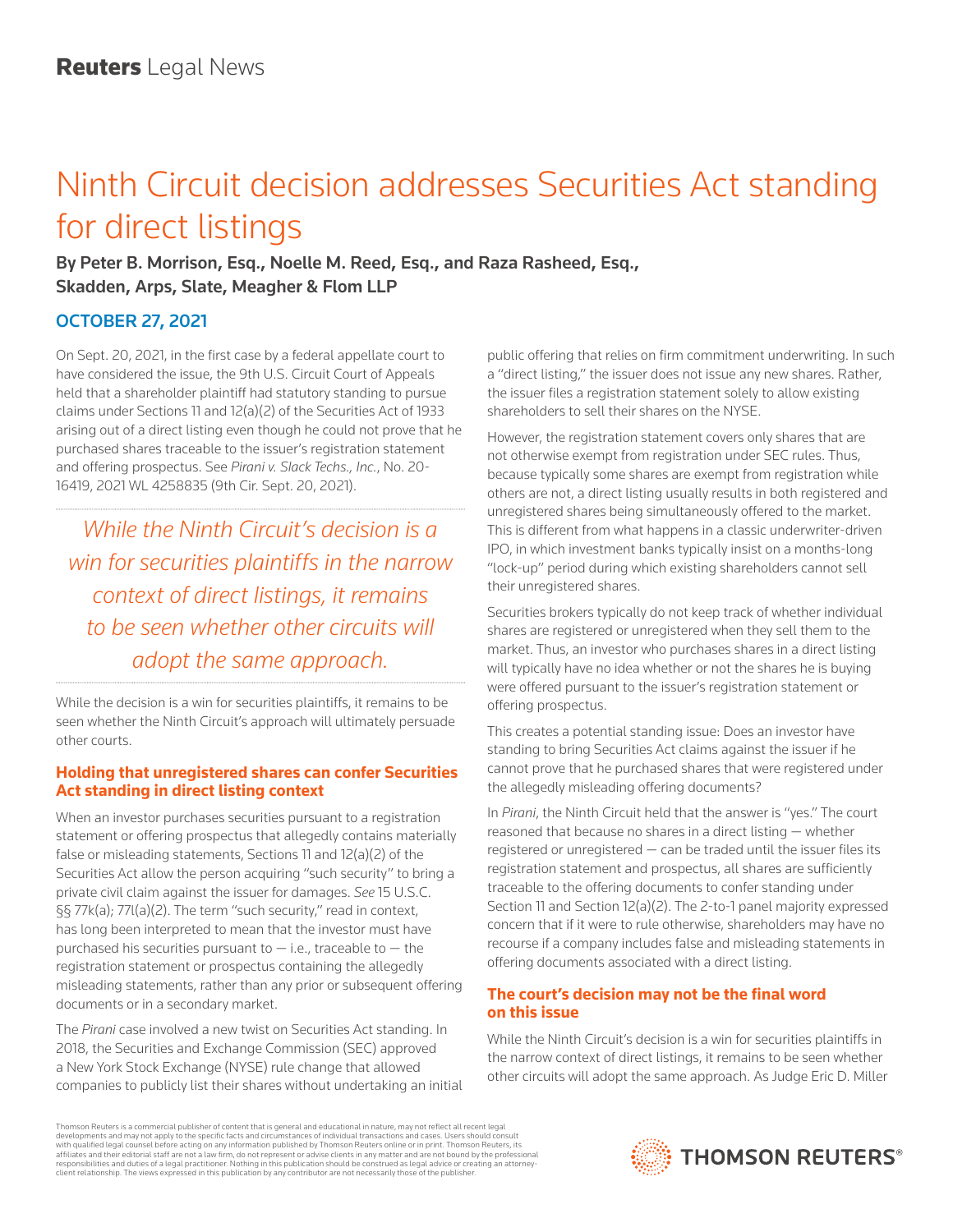# Ninth Circuit decision addresses Securities Act standing for direct listings

By Peter B. Morrison, Esq., Noelle M. Reed, Esq., and Raza Rasheed, Esq., Skadden, Arps, Slate, Meagher & Flom LLP

## OCTOBER 27, 2021

On Sept. 20, 2021, in the first case by a federal appellate court to have considered the issue, the 9th U.S. Circuit Court of Appeals held that a shareholder plaintiff had statutory standing to pursue claims under Sections 11 and 12(a)(2) of the Securities Act of 1933 arising out of a direct listing even though he could not prove that he purchased shares traceable to the issuer's registration statement and offering prospectus. See *Pirani v. Slack Techs., Inc.*, No. 20- 16419, 2021 WL 4258835 (9th Cir. Sept. 20, 2021).

*While the Ninth Circuit's decision is a win for securities plaintiffs in the narrow context of direct listings, it remains to be seen whether other circuits will adopt the same approach.*

While the decision is a win for securities plaintiffs, it remains to be seen whether the Ninth Circuit's approach will ultimately persuade other courts.

### **Holding that unregistered shares can confer Securities Act standing in direct listing context**

When an investor purchases securities pursuant to a registration statement or offering prospectus that allegedly contains materially false or misleading statements, Sections 11 and 12(a)(2) of the Securities Act allow the person acquiring "such security" to bring a private civil claim against the issuer for damages. *See* 15 U.S.C. §§ 77k(a); 77l(a)(2). The term "such security," read in context, has long been interpreted to mean that the investor must have purchased his securities pursuant to  $-$  i.e., traceable to  $-$  the registration statement or prospectus containing the allegedly misleading statements, rather than any prior or subsequent offering documents or in a secondary market.

The *Pirani* case involved a new twist on Securities Act standing. In 2018, the Securities and Exchange Commission (SEC) approved a New York Stock Exchange (NYSE) rule change that allowed companies to publicly list their shares without undertaking an initial public offering that relies on firm commitment underwriting. In such a "direct listing," the issuer does not issue any new shares. Rather, the issuer files a registration statement solely to allow existing shareholders to sell their shares on the NYSE.

However, the registration statement covers only shares that are not otherwise exempt from registration under SEC rules. Thus, because typically some shares are exempt from registration while others are not, a direct listing usually results in both registered and unregistered shares being simultaneously offered to the market. This is different from what happens in a classic underwriter-driven IPO, in which investment banks typically insist on a months-long "lock-up" period during which existing shareholders cannot sell their unregistered shares.

Securities brokers typically do not keep track of whether individual shares are registered or unregistered when they sell them to the market. Thus, an investor who purchases shares in a direct listing will typically have no idea whether or not the shares he is buying were offered pursuant to the issuer's registration statement or offering prospectus.

This creates a potential standing issue: Does an investor have standing to bring Securities Act claims against the issuer if he cannot prove that he purchased shares that were registered under the allegedly misleading offering documents?

In *Pirani*, the Ninth Circuit held that the answer is "yes." The court reasoned that because no shares in a direct listing — whether registered or unregistered  $-$  can be traded until the issuer files its registration statement and prospectus, all shares are sufficiently traceable to the offering documents to confer standing under Section 11 and Section 12(a)(2). The 2-to-1 panel majority expressed concern that if it were to rule otherwise, shareholders may have no recourse if a company includes false and misleading statements in offering documents associated with a direct listing.

## **The court's decision may not be the final word on this issue**

While the Ninth Circuit's decision is a win for securities plaintiffs in the narrow context of direct listings, it remains to be seen whether other circuits will adopt the same approach. As Judge Eric D. Miller

Thomson Reuters is a commercial publisher of content that is general and educational in nature, may not reflect all recent legal developments and may not apply to the specific facts and circumstances of individual transactions and cases. Users should consult<br>with qualified legal counsel before acting on any information published by Thomson Reuters o responsibilities and duties of a legal practitioner. Nothing in this publication should be construed as legal advice or creating an attorneyclient relationship. The views expressed in this publication by any contributor are not necessarily those of the publisher.